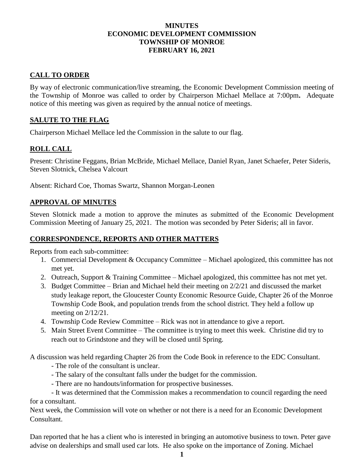## **MINUTES ECONOMIC DEVELOPMENT COMMISSION TOWNSHIP OF MONROE FEBRUARY 16, 2021**

# **CALL TO ORDER**

By way of electronic communication/live streaming, the Economic Development Commission meeting of the Township of Monroe was called to order by Chairperson Michael Mellace at 7:00pm**.** Adequate notice of this meeting was given as required by the annual notice of meetings.

## **SALUTE TO THE FLAG**

Chairperson Michael Mellace led the Commission in the salute to our flag.

## **ROLL CALL**

Present: Christine Feggans, Brian McBride, Michael Mellace, Daniel Ryan, Janet Schaefer, Peter Sideris, Steven Slotnick, Chelsea Valcourt

Absent: Richard Coe, Thomas Swartz, Shannon Morgan-Leonen

#### **APPROVAL OF MINUTES**

Steven Slotnick made a motion to approve the minutes as submitted of the Economic Development Commission Meeting of January 25, 2021. The motion was seconded by Peter Sideris; all in favor.

## **CORRESPONDENCE, REPORTS AND OTHER MATTERS**

Reports from each sub-committee:

- 1. Commercial Development & Occupancy Committee Michael apologized, this committee has not met yet.
- 2. Outreach, Support & Training Committee Michael apologized, this committee has not met yet.
- 3. Budget Committee Brian and Michael held their meeting on 2/2/21 and discussed the market study leakage report, the Gloucester County Economic Resource Guide, Chapter 26 of the Monroe Township Code Book, and population trends from the school district. They held a follow up meeting on 2/12/21.
- 4. Township Code Review Committee Rick was not in attendance to give a report.
- 5. Main Street Event Committee The committee is trying to meet this week. Christine did try to reach out to Grindstone and they will be closed until Spring.

A discussion was held regarding Chapter 26 from the Code Book in reference to the EDC Consultant.

- The role of the consultant is unclear.
- The salary of the consultant falls under the budget for the commission.
- There are no handouts/information for prospective businesses.

- It was determined that the Commission makes a recommendation to council regarding the need for a consultant.

Next week, the Commission will vote on whether or not there is a need for an Economic Development Consultant.

Dan reported that he has a client who is interested in bringing an automotive business to town. Peter gave advise on dealerships and small used car lots. He also spoke on the importance of Zoning. Michael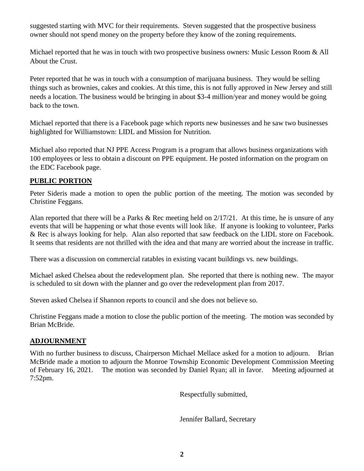suggested starting with MVC for their requirements. Steven suggested that the prospective business owner should not spend money on the property before they know of the zoning requirements.

Michael reported that he was in touch with two prospective business owners: Music Lesson Room & All About the Crust.

Peter reported that he was in touch with a consumption of marijuana business. They would be selling things such as brownies, cakes and cookies. At this time, this is not fully approved in New Jersey and still needs a location. The business would be bringing in about \$3-4 million/year and money would be going back to the town.

Michael reported that there is a Facebook page which reports new businesses and he saw two businesses highlighted for Williamstown: LIDL and Mission for Nutrition.

Michael also reported that NJ PPE Access Program is a program that allows business organizations with 100 employees or less to obtain a discount on PPE equipment. He posted information on the program on the EDC Facebook page.

## **PUBLIC PORTION**

Peter Sideris made a motion to open the public portion of the meeting. The motion was seconded by Christine Feggans.

Alan reported that there will be a Parks & Rec meeting held on 2/17/21. At this time, he is unsure of any events that will be happening or what those events will look like. If anyone is looking to volunteer, Parks & Rec is always looking for help. Alan also reported that saw feedback on the LIDL store on Facebook. It seems that residents are not thrilled with the idea and that many are worried about the increase in traffic.

There was a discussion on commercial ratables in existing vacant buildings vs. new buildings.

Michael asked Chelsea about the redevelopment plan. She reported that there is nothing new. The mayor is scheduled to sit down with the planner and go over the redevelopment plan from 2017.

Steven asked Chelsea if Shannon reports to council and she does not believe so.

Christine Feggans made a motion to close the public portion of the meeting. The motion was seconded by Brian McBride.

## **ADJOURNMENT**

With no further business to discuss, Chairperson Michael Mellace asked for a motion to adjourn. Brian McBride made a motion to adjourn the Monroe Township Economic Development Commission Meeting of February 16, 2021. The motion was seconded by Daniel Ryan; all in favor. Meeting adjourned at 7:52pm.

Respectfully submitted,

Jennifer Ballard, Secretary